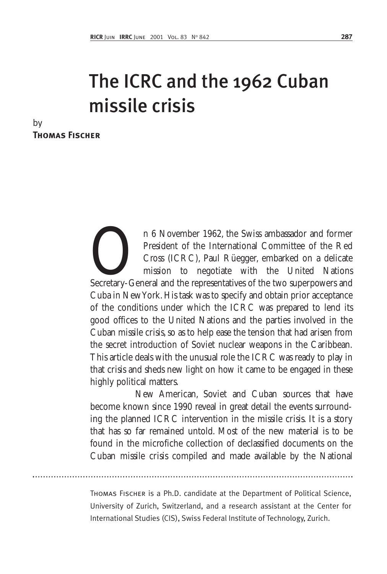# The ICRC and the 1962 Cuban missile crisis

| by                    |  |
|-----------------------|--|
| <b>THOMAS FISCHER</b> |  |

n 6 November 1962, the Swiss ambassador and former<br>President of the International Committee of the Red<br>Cross (ICRC), Paul Rüegger, embarked on a delicate<br>mission to negotiate with the United Nations<br>Secretary-General and t President of the International Committee of the Red Cross (ICRC), Paul Rüegger, embarked on a delicate mission to negotiate with the United Nations Secretary-General and the representatives of the two superpowers and Cuba in New York. His task was to specify and obtain prior acceptance of the conditions under which the ICRC was prepared to lend its good offices to the United Nations and the parties involved in the Cuban missile crisis, so as to help ease the tension that had arisen from the secret introduction of Soviet nuclear weapons in the Caribbean. This article deals with the unusual role the ICRC was ready to play in that crisis and sheds new light on how it came to be engaged in these highly political matters.

New American, Soviet and Cuban sources that have become known since 1990 reveal in great detail the events surrounding the planned ICRC intervention in the missile crisis. It is a story that has so far remained untold. Most of the new material is to be found in the microfiche collection of declassified documents on the Cuban missile crisis compiled and made available by the National

Thomas Fischer is a Ph.D. candidate at the Department of Political Science, University of Zurich, Switzerland, and a research assistant at the Center for International Studies (CIS), Swiss Federal Institute of Technology, Zurich.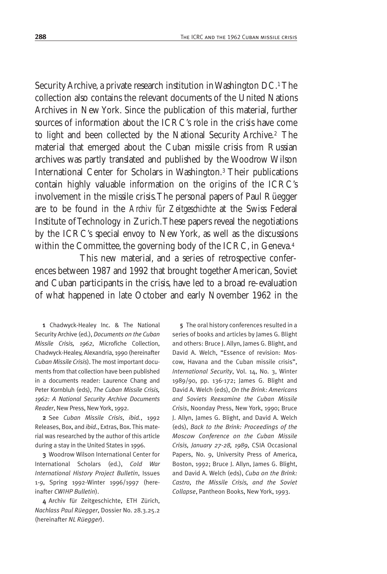Security Archive, a private research institution in Washington DC.1 The collection also contains the relevant documents of the United Nations Archives in New York. Since the publication of this material, further sources of information about the ICRC's role in the crisis have come to light and been collected by the National Security Archive.2 The material that emerged about the Cuban missile crisis from Russian archives was partly translated and published by the Woodrow Wilson International Center for Scholars in Washington.3 Their publications contain highly valuable information on the origins of the ICRC's involvement in the missile crisis.The personal papers of Paul Rüegger are to be found in the *Archiv für Zeitgeschichte* at the Swiss Federal Institute of Technology in Zurich.These papers reveal the negotiations by the ICRC's special envoy to New York, as well as the discussions within the Committee, the governing body of the ICRC, in Geneva.4

This new material, and a series of retrospective conferences between 1987 and 1992 that brought together American, Soviet and Cuban participants in the crisis, have led to a broad re-evaluation of what happened in late October and early November 1962 in the

1 Chadwyck-Healey Inc. & The National Security Archive (ed.), *Documents on the Cuban Missile Crisis, 1962*, Microfiche Collection, Chadwyck-Healey, Alexandria, 1990 (hereinafter *Cuban Missile Crisis*). The most important documents from that collection have been published in a documents reader: Laurence Chang and Peter Kornbluh (eds), *The Cuban Missile Crisis, 1962: A National Security Archive Documents Reader*, New Press, New York, 1992.

2 See *Cuban Missile Crisis*, *ibid.*, 1992 Releases, Box, and *ibid.*, Extras, Box. This material was researched by the author of this article during a stay in the United States in 1996.

3 Woodrow Wilson International Center for International Scholars (ed.), *Cold War International History Project Bulletin*, Issues 1-9, Spring 1992-Winter 1996/1997 (hereinafter *CWIHP Bulletin*).

4 Archiv für Zeitgeschichte, ETH Zürich, *Nachlass Paul Rüegger*, Dossier No. 28.3.25.2 (hereinafter *NL Rüegger*).

5 The oral history conferences resulted in a series of books and articles by James G. Blight and others: Bruce J. Allyn, James G. Blight, and David A. Welch, "Essence of revision: Moscow, Havana and the Cuban missile crisis", *International Security*, Vol. 14, No. 3, Winter 1989/90, pp. 136-172; James G. Blight and David A. Welch (eds), *On the Brink: Americans and Soviets Reexamine the Cuban Missile Crisis*, Noonday Press, New York, 1990; Bruce J. Allyn, James G. Blight, and David A. Welch (eds), *Back to the Brink: Proceedings of the Moscow Conference on the Cuban Missile Crisis, January 27-28, 1989*, CSIA Occasional Papers, No. 9, University Press of America, Boston, 1992; Bruce J. Allyn, James G. Blight, and David A. Welch (eds), *Cuba on the Brink: Castro, the Missile Crisis, and the Soviet Collapse*, Pantheon Books, New York, 1993.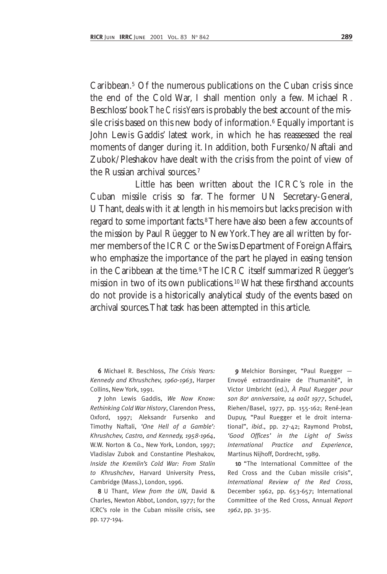Caribbean.<sup>5</sup> Of the numerous publications on the Cuban crisis since the end of the Cold War, I shall mention only a few. Michael R. Beschloss' book*The Crisis Years* is probably the best account of the missile crisis based on this new body of information.<sup>6</sup> Equally important is John Lewis Gaddis' latest work, in which he has reassessed the real moments of danger during it. In addition, both Fursenko/Naftali and Zubok/Pleshakov have dealt with the crisis from the point of view of the Russian archival sources.7

Little has been written about the ICRC's role in the Cuban missile crisis so far. The former UN Secretary-General, U Thant, deals with it at length in his memoirs but lacks precision with regard to some important facts.8There have also been a few accounts of the mission by Paul Rüegger to New York.They are all written by former members of the ICRC or the Swiss Department of Foreign Affairs, who emphasize the importance of the part he played in easing tension in the Caribbean at the time.<sup>9</sup>The ICRC itself summarized Rüegger's mission in two of its own publications.10What these firsthand accounts do not provide is a historically analytical study of the events based on archival sources.That task has been attempted in this article.

6 Michael R. Beschloss, *The Crisis Years: Kennedy and Khrushchev, 1960-1963*, Harper Collins, New York, 1991.

7 John Lewis Gaddis, *We Now Know: Rethinking Cold War History*, Clarendon Press, Oxford, 1997; Aleksandr Fursenko and Timothy Naftali, *'One Hell of a Gamble': Khrushchev, Castro, and Kennedy, 1958-1964*, W.W. Norton & Co., New York, London, 1997; Vladislav Zubok and Constantine Pleshakov, *Inside the Kremlin's Cold War: From Stalin to Khrushchev*, Harvard University Press, Cambridge (Mass.), London, 1996.

8 U Thant, *View from the UN*, David & Charles, Newton Abbot, London, 1977; for the ICRC's role in the Cuban missile crisis, see pp. 177-194.

9 Melchior Borsinger, "Paul Ruegger -Envoyé extraordinaire de l'humanité", in Victor Umbricht (ed.), *À Paul Ruegger pour son 80e anniversaire, 14 août 1977*, Schudel, Riehen/Basel, 1977, pp. 155-162; René-Jean Dupuy, "Paul Ruegger et le droit international", *ibid*., pp. 27-42; Raymond Probst, *'Good Offices' in the Light of Swiss International Practice and Experience*, Martinus Nijhoff, Dordrecht, 1989.

10 "The International Committee of the Red Cross and the Cuban missile crisis", *International Review of the Red Cross*, December 1962, pp. 653-657; International Committee of the Red Cross, Annual *Report 1962*, pp. 31-35.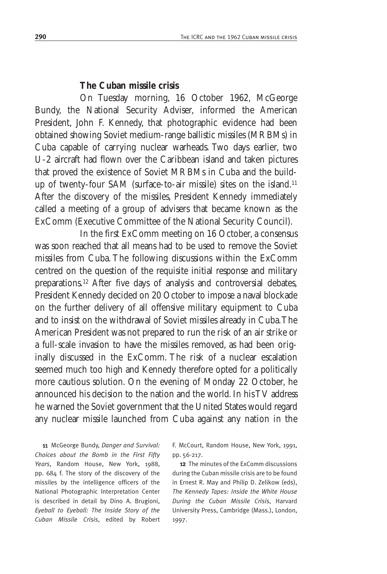#### **The Cuban missile crisis**

On Tuesday morning, 16 October 1962, McGeorge Bundy, the National Security Adviser, informed the American President, John F. Kennedy, that photographic evidence had been obtained showing Soviet medium-range ballistic missiles (MRBMs) in Cuba capable of carrying nuclear warheads. Two days earlier, two U-2 aircraft had flown over the Caribbean island and taken pictures that proved the existence of Soviet MRBMs in Cuba and the buildup of twenty-four SAM (surface-to-air missile) sites on the island.11 After the discovery of the missiles, President Kennedy immediately called a meeting of a group of advisers that became known as the ExComm (Executive Committee of the National Security Council).

In the first ExComm meeting on 16 October, a consensus was soon reached that all means had to be used to remove the Soviet missiles from Cuba. The following discussions within the ExComm centred on the question of the requisite initial response and military preparations.12 After five days of analysis and controversial debates, President Kennedy decided on 20 October to impose a naval blockade on the further delivery of all offensive military equipment to Cuba and to insist on the withdrawal of Soviet missiles already in Cuba.The American President was not prepared to run the risk of an air strike or a full-scale invasion to have the missiles removed, as had been originally discussed in the ExComm. The risk of a nuclear escalation seemed much too high and Kennedy therefore opted for a politically more cautious solution. On the evening of Monday 22 October, he announced his decision to the nation and the world. In his TV address he warned the Soviet government that the United States would regard any nuclear missile launched from Cuba against any nation in the

11 McGeorge Bundy, *Danger and Survival: Choices about the Bomb in the First Fifty Years*, Random House, New York, 1988, pp. 684 f. The story of the discovery of the missiles by the intelligence officers of the National Photographic Interpretation Center is described in detail by Dino A. Brugioni, *Eyeball to Eyeball: The Inside Story of the Cuban Missile Crisis*, edited by Robert F. McCourt, Random House, New York, 1991, pp. 56-217.

12 The minutes of the ExComm discussions during the Cuban missile crisis are to be found in Ernest R. May and Philip D. Zelikow (eds), *The Kennedy Tapes: Inside the White House During the Cuban Missile Crisis*, Harvard University Press, Cambridge (Mass.), London, 1997.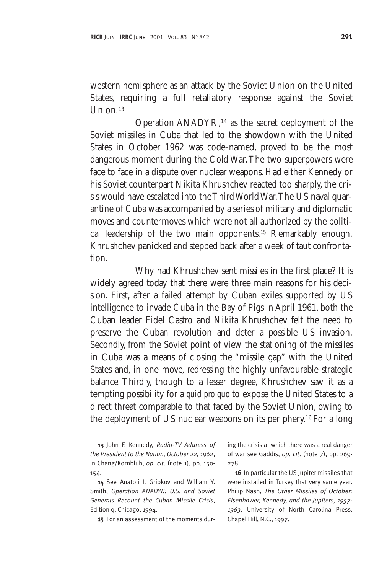western hemisphere as an attack by the Soviet Union on the United States, requiring a full retaliatory response against the Soviet Union.<sup>13</sup>

Operation ANADYR,14 as the secret deployment of the Soviet missiles in Cuba that led to the showdown with the United States in October 1962 was code-named, proved to be the most dangerous moment during the Cold War.The two superpowers were face to face in a dispute over nuclear weapons. Had either Kennedy or his Soviet counterpart Nikita Khrushchev reacted too sharply, the crisis would have escalated into the Third World War.The US naval quarantine of Cuba was accompanied by a series of military and diplomatic moves and countermoves which were not all authorized by the political leadership of the two main opponents.15 Remarkably enough, Khrushchev panicked and stepped back after a week of taut confrontation.

Why had Khrushchev sent missiles in the first place? It is widely agreed today that there were three main reasons for his decision. First, after a failed attempt by Cuban exiles supported by US intelligence to invade Cuba in the Bay of Pigs in April 1961, both the Cuban leader Fidel Castro and Nikita Khrushchev felt the need to preserve the Cuban revolution and deter a possible US invasion. Secondly, from the Soviet point of view the stationing of the missiles in Cuba was a means of closing the "missile gap" with the United States and, in one move, redressing the highly unfavourable strategic balance. Thirdly, though to a lesser degree, Khrushchev saw it as a tempting possibility for a *quid pro quo* to expose the United States to a direct threat comparable to that faced by the Soviet Union, owing to the deployment of US nuclear weapons on its periphery.16 For a long

13 John F. Kennedy, *Radio-TV Address of the President to the Nation, October 22, 1962*, in Chang/Kornbluh, *op. cit*. (note 1), pp. 150- 154.

14 See Anatoli I. Gribkov and William Y. Smith, *Operation ANADYR: U.S. and Soviet Generals Recount the Cuban Missile Crisis*, Edition q, Chicago, 1994.

15 For an assessment of the moments dur-

ing the crisis at which there was a real danger of war see Gaddis, *op. cit*. (note 7), pp. 269- 278.

16 In particular the US Jupiter missiles that were installed in Turkey that very same year. Philip Nash, *The Other Missiles of October: Eisenhower, Kennedy, and the Jupiters, 1957- 1963*, University of North Carolina Press, Chapel Hill, N.C., 1997.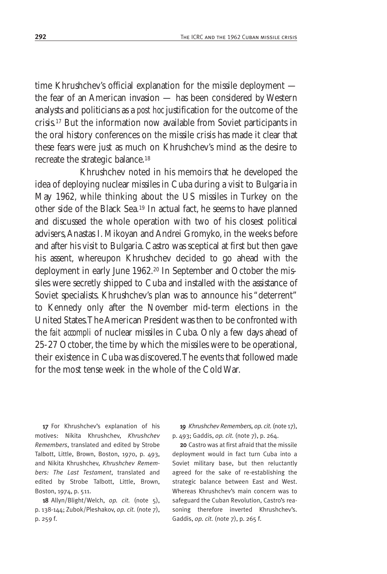time Khrushchev's official explanation for the missile deployment the fear of an American invasion — has been considered by Western analysts and politicians as a *post hoc* justification for the outcome of the crisis.17 But the information now available from Soviet participants in the oral history conferences on the missile crisis has made it clear that these fears were just as much on Khrushchev's mind as the desire to recreate the strategic balance.18

Khrushchev noted in his memoirs that he developed the idea of deploying nuclear missiles in Cuba during a visit to Bulgaria in May 1962, while thinking about the US missiles in Turkey on the other side of the Black Sea.19 In actual fact, he seems to have planned and discussed the whole operation with two of his closest political advisers,Anastas I. Mikoyan and Andrei Gromyko, in the weeks before and after his visit to Bulgaria. Castro was sceptical at first but then gave his assent, whereupon Khrushchev decided to go ahead with the deployment in early June 1962.20 In September and October the missiles were secretly shipped to Cuba and installed with the assistance of Soviet specialists. Khrushchev's plan was to announce his "deterrent" to Kennedy only after the November mid-term elections in the United States.The American President was then to be confronted with the *fait accompli* of nuclear missiles in Cuba. Only a few days ahead of 25-27 October, the time by which the missiles were to be operational, their existence in Cuba was discovered.The events that followed made for the most tense week in the whole of the Cold War.

17 For Khrushchev's explanation of his motives: Nikita Khrushchev, *Khrushchev Remembers*, translated and edited by Strobe Talbott, Little, Brown, Boston, 1970, p. 493, and Nikita Khrushchev, *Khrushchev Remembers: The Last Testament*, translated and edited by Strobe Talbott, Little, Brown, Boston, 1974, p. 511.

18 Allyn/Blight/Welch, *op. cit.* (note 5), p. 138-144; Zubok/Pleshakov, *op. cit.* (note 7), p. 259 f.

19 *Khrushchev Remembers, op. cit.*(note 17), p. 493; Gaddis, *op. cit.* (note 7), p. 264.

20 Castro was at first afraid that the missile deployment would in fact turn Cuba into a Soviet military base, but then reluctantly agreed for the sake of re-establishing the strategic balance between East and West. Whereas Khrushchev's main concern was to safeguard the Cuban Revolution, Castro's reasoning therefore inverted Khrushchev's. Gaddis, *op. cit.* (note 7), p. 265 f.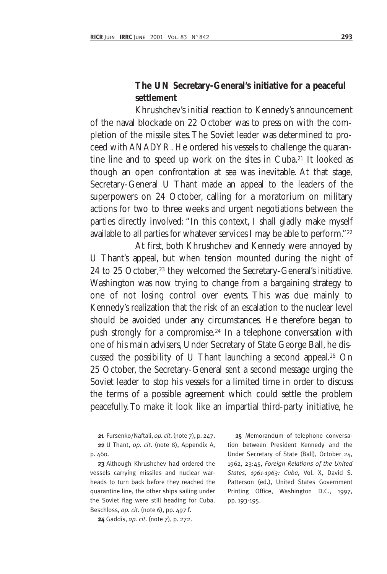## **The UN Secretary-General's initiative for a peaceful settlement**

Khrushchev's initial reaction to Kennedy's announcement of the naval blockade on 22 October was to press on with the completion of the missile sites.The Soviet leader was determined to proceed with ANADYR. He ordered his vessels to challenge the quarantine line and to speed up work on the sites in Cuba.21 It looked as though an open confrontation at sea was inevitable. At that stage, Secretary-General U Thant made an appeal to the leaders of the superpowers on 24 October, calling for a moratorium on military actions for two to three weeks and urgent negotiations between the parties directly involved: "In this context, I shall gladly make myself available to all parties for whatever services I may be able to perform."22

At first, both Khrushchev and Kennedy were annoyed by U Thant's appeal, but when tension mounted during the night of 24 to 25 October,<sup>23</sup> they welcomed the Secretary-General's initiative. Washington was now trying to change from a bargaining strategy to one of not losing control over events. This was due mainly to Kennedy's realization that the risk of an escalation to the nuclear level should be avoided under any circumstances. He therefore began to push strongly for a compromise.24 In a telephone conversation with one of his main advisers, Under Secretary of State George Ball, he discussed the possibility of U Thant launching a second appeal.25 On 25 October, the Secretary-General sent a second message urging the Soviet leader to stop his vessels for a limited time in order to discuss the terms of a possible agreement which could settle the problem peacefully.To make it look like an impartial third-party initiative, he

21 Fursenko/Naftali, *op. cit*. (note 7), p. 247. 22 U Thant, *op. cit*. (note 8), Appendix A, p. 460.

23 Although Khrushchev had ordered the vessels carrying missiles and nuclear warheads to turn back before they reached the quarantine line, the other ships sailing under the Soviet flag were still heading for Cuba. Beschloss, *op. cit*. (note 6), pp. 497 f.

24 Gaddis, *op. cit*. (note 7), p. 272.

25 Memorandum of telephone conversation between President Kennedy and the Under Secretary of State (Ball), October 24, 1962, 23:45, *Foreign Relations of the United States, 1961-1963: Cuba*, Vol. X, David S. Patterson (ed.), United States Government Printing Office, Washington D.C., 1997, pp. 193-195.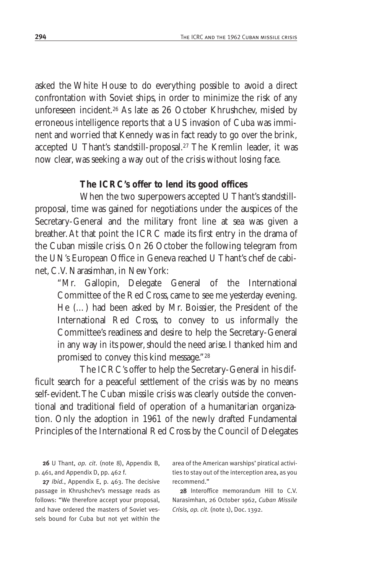asked the White House to do everything possible to avoid a direct confrontation with Soviet ships, in order to minimize the risk of any unforeseen incident.26 As late as 26 October Khrushchev, misled by erroneous intelligence reports that a US invasion of Cuba was imminent and worried that Kennedy was in fact ready to go over the brink, accepted U Thant's standstill-proposal.27 The Kremlin leader, it was now clear, was seeking a way out of the crisis without losing face.

#### **The ICRC's offer to lend its good offices**

When the two superpowers accepted U Thant's standstillproposal, time was gained for negotiations under the auspices of the Secretary-General and the military front line at sea was given a breather.At that point the ICRC made its first entry in the drama of the Cuban missile crisis. On 26 October the following telegram from the UN's European Office in Geneva reached U Thant's chef de cabinet, C.V. Narasimhan, in New York:

"Mr. Gallopin, Delegate General of the International Committee of the Red Cross, came to see me yesterday evening. He (…) had been asked by Mr. Boissier, the President of the International Red Cross, to convey to us informally the Committee's readiness and desire to help the Secretary-General in any way in its power, should the need arise. I thanked him and promised to convey this kind message."28

The ICRC's offer to help the Secretary-General in his difficult search for a peaceful settlement of the crisis was by no means self-evident.The Cuban missile crisis was clearly outside the conventional and traditional field of operation of a humanitarian organization. Only the adoption in 1961 of the newly drafted Fundamental Principles of the International Red Cross by the Council of Delegates

26 U Thant, *op. cit*. (note 8), Appendix B, p. 461, and Appendix D, pp. 462 f.

27 *Ibid.*, Appendix E, p. 463. The decisive passage in Khrushchev's message reads as follows: "We therefore accept your proposal, and have ordered the masters of Soviet vessels bound for Cuba but not yet within the

area of the American warships' piratical activities to stay out of the interception area, as you recommend."

28 Interoffice memorandum Hill to C.V. Narasimhan, 26 October 1962, *Cuban Missile Crisis, op. cit.* (note 1), Doc. 1392.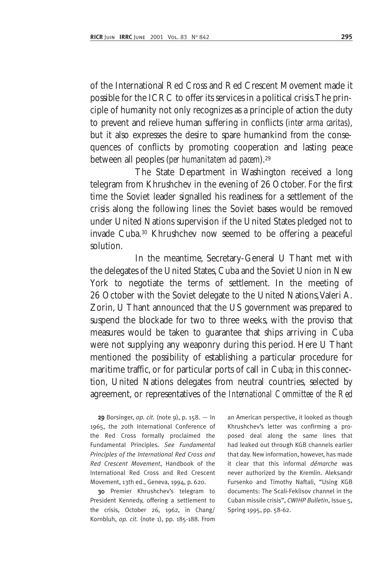of the International Red Cross and Red Crescent Movement made it possible for the ICRC to offer its services in a political crisis.The principle of humanity not only recognizes as a principle of action the duty to prevent and relieve human suffering in conflicts (*inter arma caritas*), but it also expresses the desire to spare humankind from the consequences of conflicts by promoting cooperation and lasting peace between all peoples (*per humanitatem ad pacem*).29

The State Department in Washington received a long telegram from Khrushchev in the evening of 26 October. For the first time the Soviet leader signalled his readiness for a settlement of the crisis along the following lines: the Soviet bases would be removed under United Nations supervision if the United States pledged not to invade Cuba.30 Khrushchev now seemed to be offering a peaceful solution.

In the meantime, Secretary-General U Thant met with the delegates of the United States, Cuba and the Soviet Union in New York to negotiate the terms of settlement. In the meeting of 26 October with the Soviet delegate to the United Nations, Valeri A. Zorin, U Thant announced that the US government was prepared to suspend the blockade for two to three weeks, with the proviso that measures would be taken to guarantee that ships arriving in Cuba were not supplying any weaponry during this period. Here U Thant mentioned the possibility of establishing a particular procedure for maritime traffic, or for particular ports of call in Cuba; in this connection, United Nations delegates from neutral countries, selected by agreement, or representatives of the *International Committee of the Red*

29 Borsinger, *op. cit.* (note 9), p. 158. — In 1965, the 20th International Conference of the Red Cross formally proclaimed the Fundamental Principles. *See Fundamental Principles of the International Red Cross and Red Crescent Movement*, Handbook of the International Red Cross and Red Crescent Movement, 13th ed., Geneva, 1994, p. 620.

30 Premier Khrushchev's telegram to President Kennedy, offering a settlement to the crisis, October 26, 1962, in Chang/ Kornbluh, *op. cit.* (note 1), pp. 185-188. From

an American perspective, it looked as though Khrushchev's letter was confirming a proposed deal along the same lines that had leaked out through KGB channels earlier that day. New information, however, has made it clear that this informal *démarche* was never authorized by the Kremlin. Aleksandr Fursenko and Timothy Naftali, "Using KGB documents: The Scali-Feklisov channel in the Cuban missile crisis", *CWIHP Bulletin*, Issue 5, Spring 1995, pp. 58-62.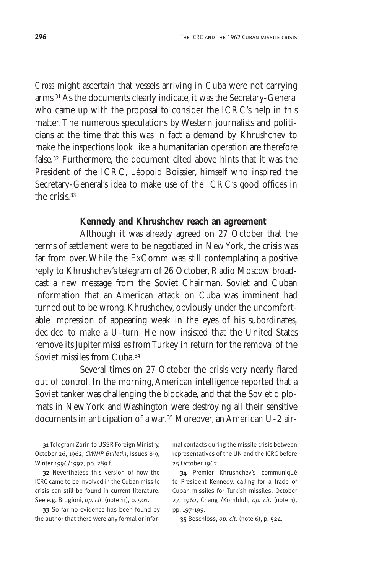*Cross* might ascertain that vessels arriving in Cuba were not carrying arms.31 As the documents clearly indicate, it was the Secretary-General who came up with the proposal to consider the ICRC's help in this matter.The numerous speculations by Western journalists and politicians at the time that this was in fact a demand by Khrushchev to make the inspections look like a humanitarian operation are therefore false.32 Furthermore, the document cited above hints that it was the President of the ICRC, Léopold Boissier, himself who inspired the Secretary-General's idea to make use of the ICRC's good offices in the crisis<sup>33</sup>

#### **Kennedy and Khrushchev reach an agreement**

Although it was already agreed on 27 October that the terms of settlement were to be negotiated in New York, the crisis was far from over.While the ExComm was still contemplating a positive reply to Khrushchev's telegram of 26 October, Radio Moscow broadcast a new message from the Soviet Chairman. Soviet and Cuban information that an American attack on Cuba was imminent had turned out to be wrong. Khrushchev, obviously under the uncomfortable impression of appearing weak in the eyes of his subordinates, decided to make a U-turn. He now insisted that the United States remove its Jupiter missiles from Turkey in return for the removal of the Soviet missiles from Cuba.34

Several times on 27 October the crisis very nearly flared out of control. In the morning,American intelligence reported that a Soviet tanker was challenging the blockade, and that the Soviet diplomats in New York and Washington were destroying all their sensitive documents in anticipation of a war.35 Moreover, an American U-2 air-

31 Telegram Zorin to USSR Foreign Ministry, October 26, 1962, *CWIHP Bulletin*, Issues 8-9, Winter 1996/1997, pp. 289 f.

32 Nevertheless this version of how the ICRC came to be involved in the Cuban missile crisis can still be found in current literature. See e.g. Brugioni, *op. cit.* (note 11), p. 501.

33 So far no evidence has been found by the author that there were any formal or informal contacts during the missile crisis between representatives of the UN and the ICRC before 25 October 1962.

34 Premier Khrushchev's communiqué to President Kennedy, calling for a trade of Cuban missiles for Turkish missiles, October 27, 1962, Chang /Kornbluh, *op. cit.* (note 1), pp. 197-199.

35 Beschloss, *op. cit.* (note 6), p. 524.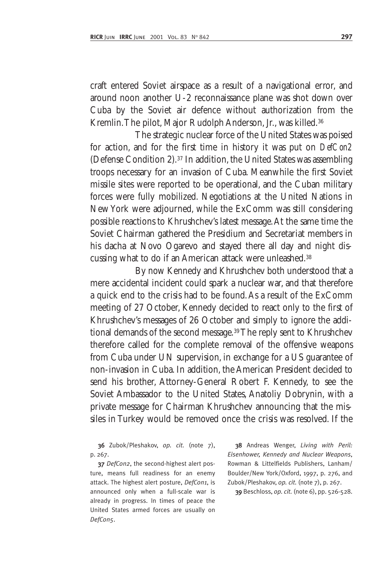craft entered Soviet airspace as a result of a navigational error, and around noon another U-2 reconnaissance plane was shot down over Cuba by the Soviet air defence without authorization from the Kremlin.The pilot, Major Rudolph Anderson, Jr., was killed.36

The strategic nuclear force of the United States was poised for action, and for the first time in history it was put on *DefCon2* (Defense Condition 2).37 In addition, the United States was assembling troops necessary for an invasion of Cuba. Meanwhile the first Soviet missile sites were reported to be operational, and the Cuban military forces were fully mobilized. Negotiations at the United Nations in New York were adjourned, while the ExComm was still considering possible reactions to Khrushchev's latest message.At the same time the Soviet Chairman gathered the Presidium and Secretariat members in his dacha at Novo Ogarevo and stayed there all day and night discussing what to do if an American attack were unleashed.38

By now Kennedy and Khrushchev both understood that a mere accidental incident could spark a nuclear war, and that therefore a quick end to the crisis had to be found.As a result of the ExComm meeting of 27 October, Kennedy decided to react only to the first of Khrushchev's messages of 26 October and simply to ignore the additional demands of the second message.<sup>39</sup> The reply sent to Khrushchev therefore called for the complete removal of the offensive weapons from Cuba under UN supervision, in exchange for a US guarantee of non-invasion in Cuba. In addition, the American President decided to send his brother, Attorney-General Robert F. Kennedy, to see the Soviet Ambassador to the United States, Anatoliy Dobrynin, with a private message for Chairman Khrushchev announcing that the missiles in Turkey would be removed once the crisis was resolved. If the

36 Zubok/Pleshakov, *op. cit.* (note 7), p. 267.

37 *DefCon2*, the second-highest alert posture, means full readiness for an enemy attack. The highest alert posture, *DefCon1*, is announced only when a full-scale war is already in progress. In times of peace the United States armed forces are usually on *DefCon5*.

38 Andreas Wenger, *Living with Peril: Eisenhower, Kennedy and Nuclear Weapons*, Rowman & Littelfields Publishers, Lanham/ Boulder/New York/Oxford, 1997, p. 276, and Zubok/Pleshakov, *op. cit.* (note 7), p. 267.

39 Beschloss, *op. cit.* (note 6), pp. 526-528.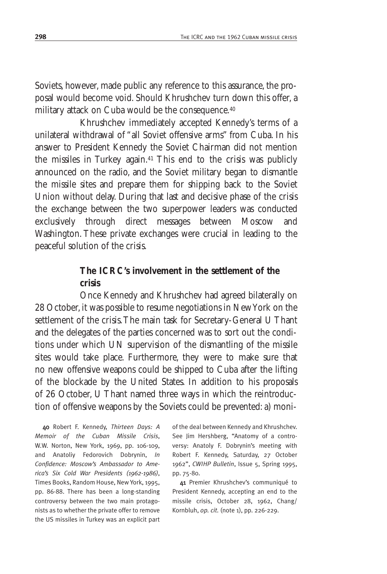Soviets, however, made public any reference to this assurance, the proposal would become void. Should Khrushchev turn down this offer, a military attack on Cuba would be the consequence.<sup>40</sup>

Khrushchev immediately accepted Kennedy's terms of a unilateral withdrawal of "all Soviet offensive arms" from Cuba. In his answer to President Kennedy the Soviet Chairman did not mention the missiles in Turkey again.41 This end to the crisis was publicly announced on the radio, and the Soviet military began to dismantle the missile sites and prepare them for shipping back to the Soviet Union without delay. During that last and decisive phase of the crisis the exchange between the two superpower leaders was conducted exclusively through direct messages between Moscow and Washington. These private exchanges were crucial in leading to the peaceful solution of the crisis.

## **The ICRC's involvement in the settlement of the crisis**

Once Kennedy and Khrushchev had agreed bilaterally on 28 October, it was possible to resume negotiations in New York on the settlement of the crisis.The main task for Secretary-General U Thant and the delegates of the parties concerned was to sort out the conditions under which UN supervision of the dismantling of the missile sites would take place. Furthermore, they were to make sure that no new offensive weapons could be shipped to Cuba after the lifting of the blockade by the United States. In addition to his proposals of 26 October, U Thant named three ways in which the reintroduction of offensive weapons by the Soviets could be prevented: a) moni-

40 Robert F. Kennedy, *Thirteen Days: A Memoir of the Cuban Missile Crisis*, W.W. Norton, New York, 1969, pp. 106-109, and Anatoliy Fedorovich Dobrynin, *In Confidence: Moscow's Ambassador to America's Six Cold War Presidents (1962-1986)*, Times Books, Random House, New York, 1995, pp. 86-88. There has been a long-standing controversy between the two main protagonists as to whether the private offer to remove the US missiles in Turkey was an explicit part

of the deal between Kennedy and Khrushchev. See Jim Hershberg, "Anatomy of a controversy: Anatoly F. Dobrynin's meeting with Robert F. Kennedy, Saturday, 27 October 1962", *CWIHP Bulletin*, Issue 5, Spring 1995, pp. 75-80.

41 Premier Khrushchev's communiqué to President Kennedy, accepting an end to the missile crisis, October 28, 1962, Chang/ Kornbluh, *op. cit.* (note 1), pp. 226-229.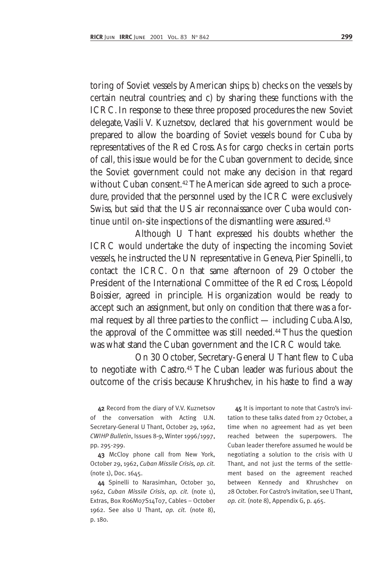toring of Soviet vessels by American ships; b) checks on the vessels by certain neutral countries; and c) by sharing these functions with the ICRC. In response to these three proposed procedures the new Soviet delegate, Vasili V. Kuznetsov, declared that his government would be prepared to allow the boarding of Soviet vessels bound for Cuba by representatives of the Red Cross. As for cargo checks in certain ports of call, this issue would be for the Cuban government to decide, since the Soviet government could not make any decision in that regard without Cuban consent.<sup>42</sup> The American side agreed to such a procedure, provided that the personnel used by the ICRC were exclusively Swiss, but said that the US air reconnaissance over Cuba would continue until on-site inspections of the dismantling were assured.<sup>43</sup>

Although U Thant expressed his doubts whether the ICRC would undertake the duty of inspecting the incoming Soviet vessels, he instructed the UN representative in Geneva, Pier Spinelli, to contact the ICRC. On that same afternoon of 29 October the President of the International Committee of the Red Cross, Léopold Boissier, agreed in principle. His organization would be ready to accept such an assignment, but only on condition that there was a formal request by all three parties to the conflict — including Cuba.Also, the approval of the Committee was still needed.44 Thus the question was what stand the Cuban government and the ICRC would take.

On 30 October, Secretary-General U Thant flew to Cuba to negotiate with Castro.45 The Cuban leader was furious about the outcome of the crisis because Khrushchev, in his haste to find a way

42 Record from the diary of V.V. Kuznetsov of the conversation with Acting U.N. Secretary-General U Thant, October 29, 1962, *CWIHP Bulletin*, Issues 8-9, Winter 1996/1997, pp. 295-299.

43 McCloy phone call from New York, October 29, 1962, *Cuban Missile Crisis, op. cit.* (note 1), Doc. 1645.

44 Spinelli to Narasimhan, October 30, 1962, *Cuban Missile Crisis*, *op. cit.* (note 1), Extras, Box R06M07S14T07, Cables – October 1962. See also U Thant, *op. cit.* (note 8), p. 180.

45 It is important to note that Castro's invitation to these talks dated from 27 October, a time when no agreement had as yet been reached between the superpowers. The Cuban leader therefore assumed he would be negotiating a solution to the crisis with U Thant, and not just the terms of the settlement based on the agreement reached between Kennedy and Khrushchev on 28 October. For Castro's invitation, see U Thant, *op. cit.* (note 8), Appendix G, p. 465.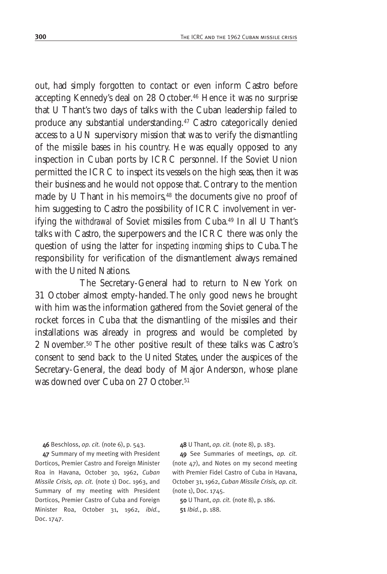out, had simply forgotten to contact or even inform Castro before accepting Kennedy's deal on 28 October.46 Hence it was no surprise that U Thant's two days of talks with the Cuban leadership failed to produce any substantial understanding.47 Castro categorically denied access to a UN supervisory mission that was to verify the dismantling of the missile bases in his country. He was equally opposed to any inspection in Cuban ports by ICRC personnel. If the Soviet Union permitted the ICRC to inspect its vessels on the high seas, then it was their business and he would not oppose that. Contrary to the mention made by U Thant in his memoirs,<sup>48</sup> the documents give no proof of him suggesting to Castro the possibility of ICRC involvement in verifying the *withdrawal* of Soviet missiles from Cuba.49 In all U Thant's talks with Castro, the superpowers and the ICRC there was only the question of using the latter for *inspecting incoming* ships to Cuba.The responsibility for verification of the dismantlement always remained with the United Nations.

The Secretary-General had to return to New York on 31 October almost empty-handed. The only good news he brought with him was the information gathered from the Soviet general of the rocket forces in Cuba that the dismantling of the missiles and their installations was already in progress and would be completed by 2 November.50 The other positive result of these talks was Castro's consent to send back to the United States, under the auspices of the Secretary-General, the dead body of Major Anderson, whose plane was downed over Cuba on 27 October.<sup>51</sup>

46 Beschloss, *op. cit.* (note 6), p. 543. 47 Summary of my meeting with President Dorticos, Premier Castro and Foreign Minister Roa in Havana, October 30, 1962, *Cuban Missile Crisis, op. cit.* (note 1) Doc. 1963, and Summary of my meeting with President Dorticos, Premier Castro of Cuba and Foreign Minister Roa, October 31, 1962, *ibid.*, Doc. 1747.

48 U Thant, *op. cit.* (note 8), p. 183.

49 See Summaries of meetings, *op. cit.* (note 47), and Notes on my second meeting with Premier Fidel Castro of Cuba in Havana, October 31, 1962, *Cuban Missile Crisis, op. cit.* (note 1), Doc. 1745.

50 U Thant, *op. cit.* (note 8), p. 186. 51 *Ibid.*, p. 188.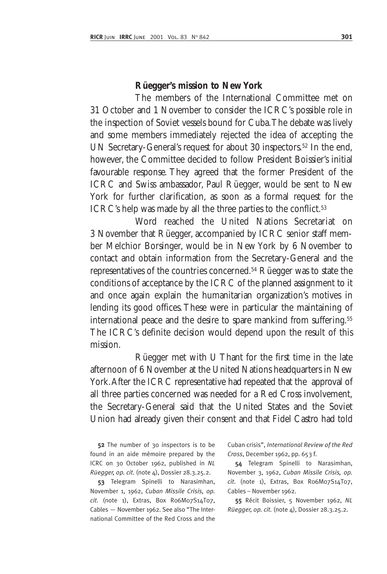#### **Rüegger's mission to New York**

The members of the International Committee met on 31 October and 1 November to consider the ICRC's possible role in the inspection of Soviet vessels bound for Cuba.The debate was lively and some members immediately rejected the idea of accepting the UN Secretary-General's request for about 30 inspectors.52 In the end, however, the Committee decided to follow President Boissier's initial favourable response. They agreed that the former President of the ICRC and Swiss ambassador, Paul Rüegger, would be sent to New York for further clarification, as soon as a formal request for the ICRC's help was made by all the three parties to the conflict.<sup>53</sup>

Word reached the United Nations Secretariat on 3 November that Rüegger, accompanied by ICRC senior staff member Melchior Borsinger, would be in New York by 6 November to contact and obtain information from the Secretary-General and the representatives of the countries concerned.54 Rüegger was to state the conditions of acceptance by the ICRC of the planned assignment to it and once again explain the humanitarian organization's motives in lending its good offices. These were in particular the maintaining of international peace and the desire to spare mankind from suffering.<sup>55</sup> The ICRC's definite decision would depend upon the result of this mission.

Rüegger met with U Thant for the first time in the late afternoon of 6 November at the United Nations headquarters in New York.After the ICRC representative had repeated that the approval of all three parties concerned was needed for a Red Cross involvement, the Secretary-General said that the United States and the Soviet Union had already given their consent and that Fidel Castro had told

52 The number of 30 inspectors is to be found in an aide mémoire prepared by the ICRC on 30 October 1962, published in *NL Rüegger, op. cit.* (note 4), Dossier 28.3.25.2.

53 Telegram Spinelli to Narasimhan, November 1, 1962, *Cuban Missile Crisis, op. cit.* (note 1), Extras, Box R06M07S14T07, Cables — November 1962. See also "The International Committee of the Red Cross and the

Cuban crisis", *International Review of the Red Cross*, December 1962, pp. 653 f.

54 Telegram Spinelli to Narasimhan, November 3, 1962, *Cuban Missile Crisis, op. cit.* (note 1), Extras, Box R06M07S14T07, Cables – November 1962.

55 Récit Boissier, 5 November 1962, *NL Rüegger, op. cit.* (note 4), Dossier 28.3.25.2.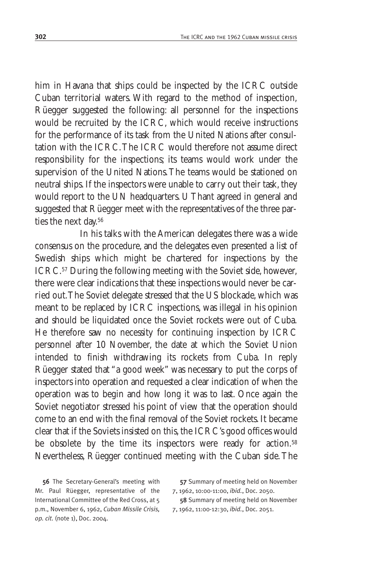him in Havana that ships could be inspected by the ICRC outside Cuban territorial waters. With regard to the method of inspection, Rüegger suggested the following: all personnel for the inspections would be recruited by the ICRC, which would receive instructions for the performance of its task from the United Nations after consultation with the ICRC.The ICRC would therefore not assume direct responsibility for the inspections; its teams would work under the supervision of the United Nations.The teams would be stationed on neutral ships. If the inspectors were unable to carry out their task, they would report to the UN headquarters. U Thant agreed in general and suggested that Rüegger meet with the representatives of the three parties the next day.56

In his talks with the American delegates there was a wide consensus on the procedure, and the delegates even presented a list of Swedish ships which might be chartered for inspections by the ICRC.57 During the following meeting with the Soviet side, however, there were clear indications that these inspections would never be carried out.The Soviet delegate stressed that the US blockade, which was meant to be replaced by ICRC inspections, was illegal in his opinion and should be liquidated once the Soviet rockets were out of Cuba. He therefore saw no necessity for continuing inspection by ICRC personnel after 10 November, the date at which the Soviet Union intended to finish withdrawing its rockets from Cuba. In reply Rüegger stated that "a good week" was necessary to put the corps of inspectors into operation and requested a clear indication of when the operation was to begin and how long it was to last. Once again the Soviet negotiator stressed his point of view that the operation should come to an end with the final removal of the Soviet rockets. It became clear that if the Soviets insisted on this, the ICRC's good offices would be obsolete by the time its inspectors were ready for action.<sup>58</sup> Nevertheless, Rüegger continued meeting with the Cuban side.The

56 The Secretary-General's meeting with Mr. Paul Rüegger, representative of the International Committee of the Red Cross, at 5 p.m., November 6, 1962, *Cuban Missile Crisis, op. cit.* (note 1), Doc. 2004.

57 Summary of meeting held on November 7, 1962, 10:00-11:00, *ibid.*, Doc. 2050.

58 Summary of meeting held on November 7, 1962, 11:00-12:30, *ibid.*, Doc. 2051.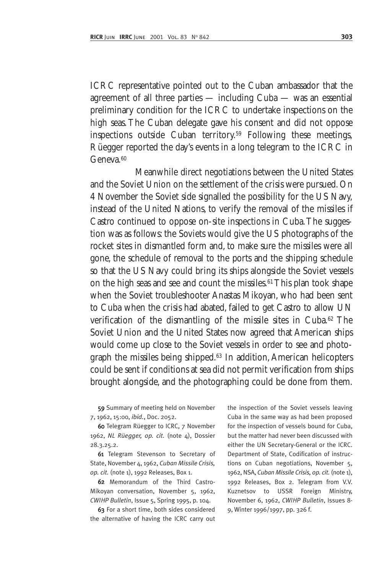ICRC representative pointed out to the Cuban ambassador that the agreement of all three parties — including Cuba — was an essential preliminary condition for the ICRC to undertake inspections on the high seas. The Cuban delegate gave his consent and did not oppose inspections outside Cuban territory.59 Following these meetings, Rüegger reported the day's events in a long telegram to the ICRC in Geneva<sup>60</sup>

Meanwhile direct negotiations between the United States and the Soviet Union on the settlement of the crisis were pursued. On 4 November the Soviet side signalled the possibility for the US Navy, instead of the United Nations, to verify the removal of the missiles if Castro continued to oppose on-site inspections in Cuba.The suggestion was as follows: the Soviets would give the US photographs of the rocket sites in dismantled form and, to make sure the missiles were all gone, the schedule of removal to the ports and the shipping schedule so that the US Navy could bring its ships alongside the Soviet vessels on the high seas and see and count the missiles.<sup>61</sup> This plan took shape when the Soviet troubleshooter Anastas Mikoyan, who had been sent to Cuba when the crisis had abated, failed to get Castro to allow UN verification of the dismantling of the missile sites in Cuba.62 The Soviet Union and the United States now agreed that American ships would come up close to the Soviet vessels in order to see and photograph the missiles being shipped.63 In addition, American helicopters could be sent if conditions at sea did not permit verification from ships brought alongside, and the photographing could be done from them.

59 Summary of meeting held on November 7, 1962, 15:00, *ibid.*, Doc. 2052.

60 Telegram Rüegger to ICRC, 7 November 1962, *NL Rüegger, op. cit.* (note 4), Dossier 28.3.25.2.

61 Telegram Stevenson to Secretary of State, November 4, 1962, *Cuban Missile Crisis, op. cit.* (note 1), 1992 Releases, Box 1.

62 Memorandum of the Third Castro-Mikoyan conversation, November 5, 1962, *CWIHP Bulletin*, Issue 5, Spring 1995, p. 104.

63 For a short time, both sides considered the alternative of having the ICRC carry out

the inspection of the Soviet vessels leaving Cuba in the same way as had been proposed for the inspection of vessels bound for Cuba, but the matter had never been discussed with either the UN Secretary-General or the ICRC. Department of State, Codification of instructions on Cuban negotiations, November 5, 1962, NSA, *Cuban Missile Crisis, op. cit.* (note 1), 1992 Releases, Box 2. Telegram from V.V. Kuznetsov to USSR Foreign Ministry, November 6, 1962, *CWIHP Bulletin*, Issues 8- 9, Winter 1996/1997, pp. 326 f.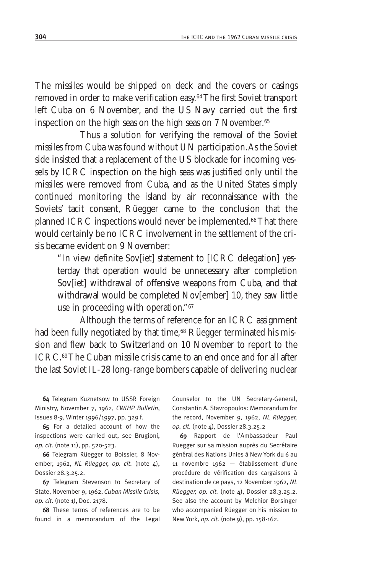The missiles would be shipped on deck and the covers or casings removed in order to make verification easy.64The first Soviet transport left Cuba on 6 November, and the US Navy carried out the first inspection on the high seas on the high seas on 7 November.<sup>65</sup>

Thus a solution for verifying the removal of the Soviet missiles from Cuba was found without UN participation.As the Soviet side insisted that a replacement of the US blockade for incoming vessels by ICRC inspection on the high seas was justified only until the missiles were removed from Cuba, and as the United States simply continued monitoring the island by air reconnaissance with the Soviets' tacit consent, Rüegger came to the conclusion that the planned ICRC inspections would never be implemented.<sup>66</sup> That there would certainly be no ICRC involvement in the settlement of the crisis became evident on 9 November:

"In view definite Sov[iet] statement to [ICRC delegation] yesterday that operation would be unnecessary after completion Sov[iet] withdrawal of offensive weapons from Cuba, and that withdrawal would be completed Nov[ember] 10, they saw little use in proceeding with operation."67

Although the terms of reference for an ICRC assignment had been fully negotiated by that time,<sup>68</sup> Rüegger terminated his mission and flew back to Switzerland on 10 November to report to the ICRC.69The Cuban missile crisis came to an end once and for all after the last Soviet IL-28 long-range bombers capable of delivering nuclear

64 Telegram Kuznetsow to USSR Foreign Ministry, November 7, 1962, *CWIHP Bulletin*, Issues 8-9, Winter 1996/1997, pp. 329 f.

65 For a detailed account of how the inspections were carried out, see Brugioni, *op. cit.* (note 11), pp. 520-523.

66 Telegram Rüegger to Boissier, 8 November, 1962, *NL Rüegger, op. cit.* (note 4), Dossier 28.3.25.2.

67 Telegram Stevenson to Secretary of State, November 9, 1962, *Cuban Missile Crisis, op. cit.* (note 1), Doc. 2178.

68 These terms of references are to be found in a memorandum of the Legal Counselor to the UN Secretary-General, Constantin A. Stavropoulos: Memorandum for the record, November 9, 1962, *NL Rüegger, op. cit.* (note 4), Dossier 28.3.25.2

69 Rapport de l'Ambassadeur Paul Ruegger sur sa mission auprès du Secrétaire général des Nations Unies à New York du 6 au 11 novembre 1962 — établissement d'une procédure de vérification des cargaisons à destination de ce pays, 12 November 1962, *NL Rüegger, op. cit.* (note 4), Dossier 28.3.25.2. See also the account by Melchior Borsinger who accompanied Rüegger on his mission to New York, *op. cit.* (note 9), pp. 158-162.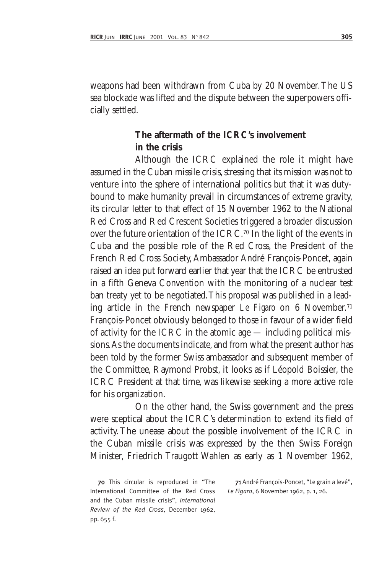weapons had been withdrawn from Cuba by 20 November.The US sea blockade was lifted and the dispute between the superpowers officially settled.

## **The aftermath of the ICRC's involvement in the crisis**

Although the ICRC explained the role it might have assumed in the Cuban missile crisis, stressing that its mission was not to venture into the sphere of international politics but that it was dutybound to make humanity prevail in circumstances of extreme gravity, its circular letter to that effect of 15 November 1962 to the National Red Cross and Red Crescent Societies triggered a broader discussion over the future orientation of the ICRC.70 In the light of the events in Cuba and the possible role of the Red Cross, the President of the French Red Cross Society, Ambassador André François-Poncet, again raised an idea put forward earlier that year that the ICRC be entrusted in a fifth Geneva Convention with the monitoring of a nuclear test ban treaty yet to be negotiated.This proposal was published in a leading article in the French newspaper *Le Figaro* on 6 November.71 François-Poncet obviously belonged to those in favour of a wider field of activity for the ICRC in the atomic age — including political missions.As the documents indicate, and from what the present author has been told by the former Swiss ambassador and subsequent member of the Committee, Raymond Probst, it looks as if Léopold Boissier, the ICRC President at that time, was likewise seeking a more active role for his organization.

On the other hand, the Swiss government and the press were sceptical about the ICRC's determination to extend its field of activity. The unease about the possible involvement of the ICRC in the Cuban missile crisis was expressed by the then Swiss Foreign Minister, Friedrich Traugott Wahlen as early as 1 November 1962,

70 This circular is reproduced in "The International Committee of the Red Cross and the Cuban missile crisis", *International Review of the Red Cross*, December 1962, pp. 655 f.

71 André François-Poncet, "Le grain a levé", *Le Figaro*, 6 November 1962, p. 1, 26.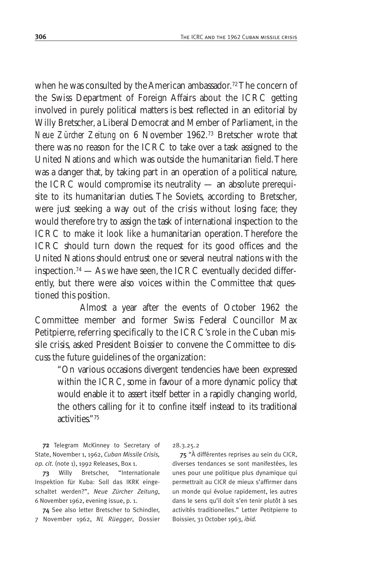when he was consulted by the American ambassador.<sup>72</sup> The concern of the Swiss Department of Foreign Affairs about the ICRC getting involved in purely political matters is best reflected in an editorial by Willy Bretscher, a Liberal Democrat and Member of Parliament, in the *Neue Zürcher Zeitung* on 6 November 1962.73 Bretscher wrote that there was no reason for the ICRC to take over a task assigned to the United Nations and which was outside the humanitarian field.There was a danger that, by taking part in an operation of a political nature, the ICRC would compromise its neutrality — an absolute prerequisite to its humanitarian duties. The Soviets, according to Bretscher, were just seeking a way out of the crisis without losing face; they would therefore try to assign the task of international inspection to the ICRC to make it look like a humanitarian operation. Therefore the ICRC should turn down the request for its good offices and the United Nations should entrust one or several neutral nations with the inspection.74 — As we have seen, the ICRC eventually decided differently, but there were also voices within the Committee that questioned this position.

Almost a year after the events of October 1962 the Committee member and former Swiss Federal Councillor Max Petitpierre, referring specifically to the ICRC's role in the Cuban missile crisis, asked President Boissier to convene the Committee to discuss the future guidelines of the organization:

"On various occasions divergent tendencies have been expressed within the ICRC, some in favour of a more dynamic policy that would enable it to assert itself better in a rapidly changing world, the others calling for it to confine itself instead to its traditional activities."75

72 Telegram McKinney to Secretary of State, November 1, 1962, *Cuban Missile Crisis, op. cit.* (note 1), 1992 Releases, Box 1.

73 Willy Bretscher, "Internationale Inspektion für Kuba: Soll das IKRK eingeschaltet werden?", *Neue Zürcher Zeitung*, 6 November 1962, evening issue, p. 1.

74 See also letter Bretscher to Schindler, 7 November 1962, *NL Rüegger*, Dossier 28.3.25.2

75 "À différentes reprises au sein du CICR, diverses tendances se sont manifestées, les unes pour une politique plus dynamique qui permettrait au CICR de mieux s'affirmer dans un monde qui évolue rapidement, les autres dans le sens qu'il doit s'en tenir plutôt à ses activités traditionelles." Letter Petitpierre to Boissier, 31 October 1963, *ibid.*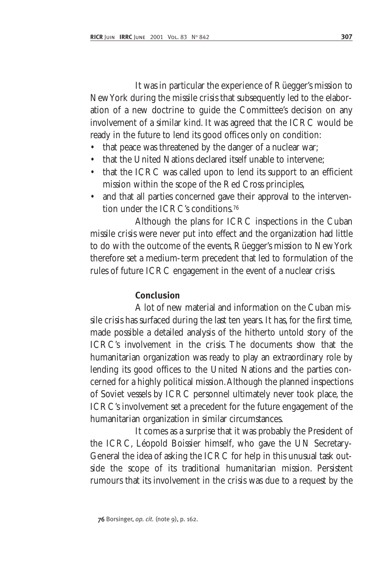It was in particular the experience of Rüegger's mission to New York during the missile crisis that subsequently led to the elaboration of a new doctrine to guide the Committee's decision on any involvement of a similar kind. It was agreed that the ICRC would be ready in the future to lend its good offices only on condition:

- that peace was threatened by the danger of a nuclear war;
- that the United Nations declared itself unable to intervene;
- that the ICRC was called upon to lend its support to an efficient mission within the scope of the Red Cross principles,
- and that all parties concerned gave their approval to the intervention under the ICRC's conditions.76

Although the plans for ICRC inspections in the Cuban missile crisis were never put into effect and the organization had little to do with the outcome of the events, Rüegger's mission to New York therefore set a medium-term precedent that led to formulation of the rules of future ICRC engagement in the event of a nuclear crisis.

# **Conclusion**

A lot of new material and information on the Cuban missile crisis has surfaced during the last ten years. It has, for the first time, made possible a detailed analysis of the hitherto untold story of the ICRC's involvement in the crisis. The documents show that the humanitarian organization was ready to play an extraordinary role by lending its good offices to the United Nations and the parties concerned for a highly political mission.Although the planned inspections of Soviet vessels by ICRC personnel ultimately never took place, the ICRC's involvement set a precedent for the future engagement of the humanitarian organization in similar circumstances.

It comes as a surprise that it was probably the President of the ICRC, Léopold Boissier himself, who gave the UN Secretary-General the idea of asking the ICRC for help in this unusual task outside the scope of its traditional humanitarian mission. Persistent rumours that its involvement in the crisis was due to a request by the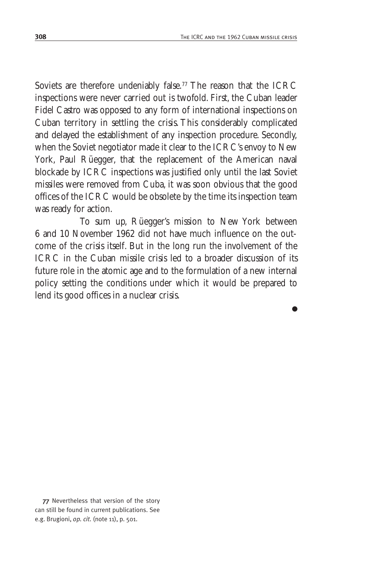●

Soviets are therefore undeniably false.<sup>77</sup> The reason that the ICRC inspections were never carried out is twofold. First, the Cuban leader Fidel Castro was opposed to any form of international inspections on Cuban territory in settling the crisis. This considerably complicated and delayed the establishment of any inspection procedure. Secondly, when the Soviet negotiator made it clear to the ICRC's envoy to New York, Paul Rüegger, that the replacement of the American naval blockade by ICRC inspections was justified only until the last Soviet missiles were removed from Cuba, it was soon obvious that the good offices of the ICRC would be obsolete by the time its inspection team was ready for action.

To sum up, Rüegger's mission to New York between 6 and 10 November 1962 did not have much influence on the outcome of the crisis itself. But in the long run the involvement of the ICRC in the Cuban missile crisis led to a broader discussion of its future role in the atomic age and to the formulation of a new internal policy setting the conditions under which it would be prepared to lend its good offices in a nuclear crisis.

<sup>77</sup> Nevertheless that version of the story can still be found in current publications. See e.g. Brugioni, *op. cit.* (note 11), p. 501.